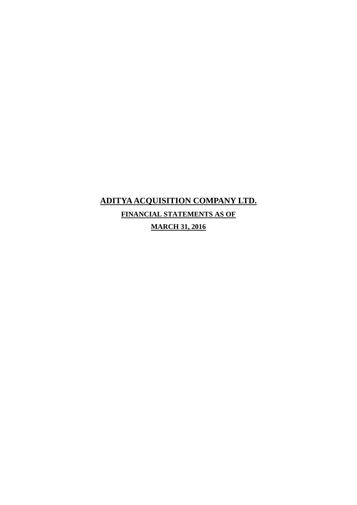# **ADITYA ACQUISITION COMPANY LTD. FINANCIAL STATEMENTS AS OF MARCH 31, 2016**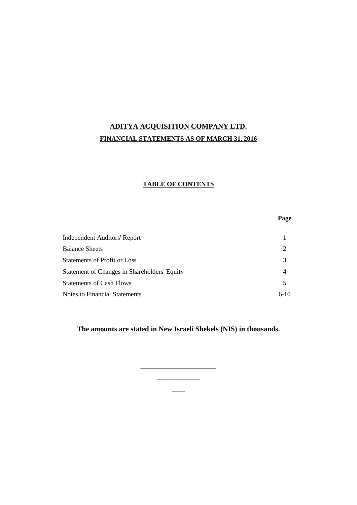## **ADITYA ACQUISITION COMPANY LTD. FINANCIAL STATEMENTS AS OF MARCH 31, 2016**

#### **TABLE OF CONTENTS**

|                                              | Page   |
|----------------------------------------------|--------|
| <b>Independent Auditors' Report</b>          |        |
| <b>Balance Sheets</b>                        | 2      |
| Statements of Profit or Loss                 | 3      |
| Statement of Changes in Shareholders' Equity | 4      |
| <b>Statements of Cash Flows</b>              | 5      |
| Notes to Financial Statements                | $6-10$ |

**The amounts are stated in New Israeli Shekels (NIS) in thousands.**

 $\overline{\phantom{a}}$   $\overline{\phantom{a}}$   $\overline{\phantom{a}}$   $\overline{\phantom{a}}$   $\overline{\phantom{a}}$   $\overline{\phantom{a}}$   $\overline{\phantom{a}}$   $\overline{\phantom{a}}$   $\overline{\phantom{a}}$   $\overline{\phantom{a}}$   $\overline{\phantom{a}}$   $\overline{\phantom{a}}$   $\overline{\phantom{a}}$   $\overline{\phantom{a}}$   $\overline{\phantom{a}}$   $\overline{\phantom{a}}$   $\overline{\phantom{a}}$   $\overline{\phantom{a}}$   $\overline{\$ 

 $\overline{\phantom{a}}$  , and the set of the set of the set of the set of the set of the set of the set of the set of the set of the set of the set of the set of the set of the set of the set of the set of the set of the set of the s

 $\overline{\phantom{a}}$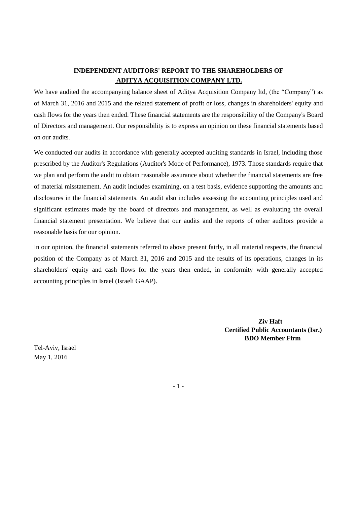## **INDEPENDENT AUDITORS' REPORT TO THE SHAREHOLDERS OF ADITYA ACQUISITION COMPANY LTD.**

We have audited the accompanying balance sheet of Aditya Acquisition Company ltd, (the "Company") as of March 31, 2016 and 2015 and the related statement of profit or loss, changes in shareholders' equity and cash flows for the years then ended. These financial statements are the responsibility of the Company's Board of Directors and management. Our responsibility is to express an opinion on these financial statements based on our audits.

We conducted our audits in accordance with generally accepted auditing standards in Israel, including those prescribed by the Auditor's Regulations (Auditor's Mode of Performance), 1973. Those standards require that we plan and perform the audit to obtain reasonable assurance about whether the financial statements are free of material misstatement. An audit includes examining, on a test basis, evidence supporting the amounts and disclosures in the financial statements. An audit also includes assessing the accounting principles used and significant estimates made by the board of directors and management, as well as evaluating the overall financial statement presentation. We believe that our audits and the reports of other auditors provide a reasonable basis for our opinion.

In our opinion, the financial statements referred to above present fairly, in all material respects, the financial position of the Company as of March 31, 2016 and 2015 and the results of its operations, changes in its shareholders' equity and cash flows for the years then ended, in conformity with generally accepted accounting principles in Israel (Israeli GAAP).

> **Ziv Haft Certified Public Accountants (Isr.) BDO Member Firm**

Tel-Aviv, Israel May 1, 2016

- 1 -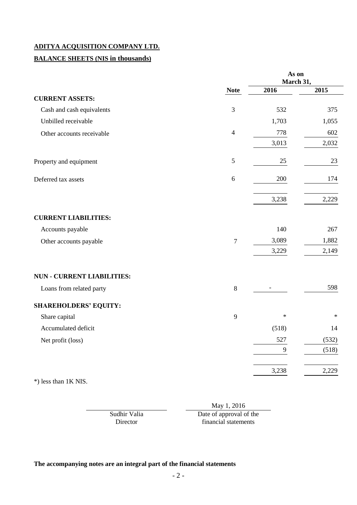## **BALANCE SHEETS (NIS in thousands)**

|                                   |                | As on<br>March 31, |        |  |
|-----------------------------------|----------------|--------------------|--------|--|
|                                   | <b>Note</b>    | 2016               | 2015   |  |
| <b>CURRENT ASSETS:</b>            |                |                    |        |  |
| Cash and cash equivalents         | 3              | 532                | 375    |  |
| Unbilled receivable               |                | 1,703              | 1,055  |  |
| Other accounts receivable         | $\overline{4}$ | 778                | 602    |  |
|                                   |                | 3,013              | 2,032  |  |
| Property and equipment            | $\mathfrak{S}$ | 25                 | 23     |  |
| Deferred tax assets               | 6              | 200                | 174    |  |
|                                   |                | 3,238              | 2,229  |  |
| <b>CURRENT LIABILITIES:</b>       |                |                    |        |  |
| Accounts payable                  |                | 140                | 267    |  |
| Other accounts payable            | $\overline{7}$ | 3,089              | 1,882  |  |
|                                   |                | 3,229              | 2,149  |  |
| <b>NUN - CURRENT LIABILITIES:</b> |                |                    |        |  |
| Loans from related party          | $\,8\,$        |                    | 598    |  |
| <b>SHAREHOLDERS' EQUITY:</b>      |                |                    |        |  |
| Share capital                     | 9              | $\ast$             | $\ast$ |  |
| Accumulated deficit               |                | (518)              | 14     |  |
| Net profit (loss)                 |                | 527                | (532)  |  |
|                                   |                | 9                  | (518)  |  |
|                                   |                | 3,238              | 2,229  |  |

\*) less than 1K NIS.

Sudhir Valia Director

May 1, 2016

Date of approval of the financial statements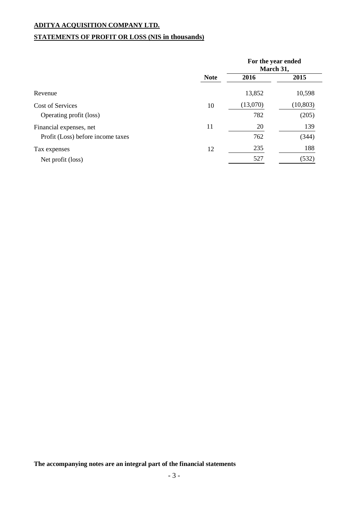## **STATEMENTS OF PROFIT OR LOSS (NIS in thousands)**

|                                   |             | For the year ended<br>March 31, |           |
|-----------------------------------|-------------|---------------------------------|-----------|
|                                   | <b>Note</b> | 2016                            | 2015      |
| Revenue                           |             | 13,852                          | 10,598    |
| Cost of Services                  | 10          | (13,070)                        | (10, 803) |
| Operating profit (loss)           |             | 782                             | (205)     |
| Financial expenses, net           | 11          | 20                              | 139       |
| Profit (Loss) before income taxes |             | 762                             | (344)     |
| Tax expenses                      | 12          | 235                             | 188       |
| Net profit (loss)                 |             | 527                             | (532)     |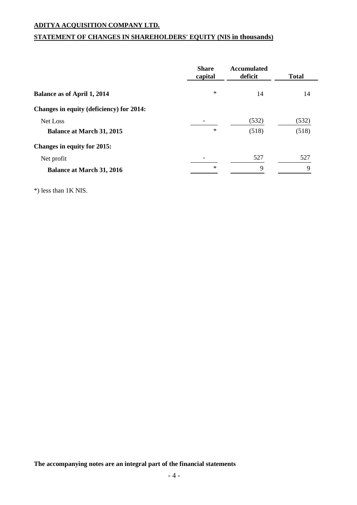## **STATEMENT OF CHANGES IN SHAREHOLDERS' EQUITY (NIS in thousands)**

|                                          | <b>Share</b><br>capital | <b>Accumulated</b><br>deficit | <b>Total</b> |
|------------------------------------------|-------------------------|-------------------------------|--------------|
| <b>Balance as of April 1, 2014</b>       | $\ast$                  | 14                            | 14           |
| Changes in equity (deficiency) for 2014: |                         |                               |              |
| Net Loss                                 |                         | (532)                         | (532)        |
| <b>Balance at March 31, 2015</b>         | $\ast$                  | (518)                         | (518)        |
| <b>Changes in equity for 2015:</b>       |                         |                               |              |
| Net profit                               |                         | 527                           | 527          |
| <b>Balance at March 31, 2016</b>         | $\ast$                  | 9                             | 9            |

\*) less than 1K NIS.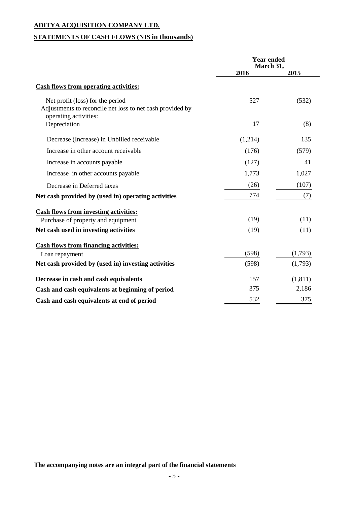## **STATEMENTS OF CASH FLOWS (NIS in thousands)**

|                                                                                                                        | <b>Year ended</b><br>March 31, |         |  |
|------------------------------------------------------------------------------------------------------------------------|--------------------------------|---------|--|
|                                                                                                                        | 2016                           | 2015    |  |
| <b>Cash flows from operating activities:</b>                                                                           |                                |         |  |
| Net profit (loss) for the period<br>Adjustments to reconcile net loss to net cash provided by<br>operating activities: | 527                            | (532)   |  |
| Depreciation                                                                                                           | 17                             | (8)     |  |
| Decrease (Increase) in Unbilled receivable                                                                             | (1,214)                        | 135     |  |
| Increase in other account receivable                                                                                   | (176)                          | (579)   |  |
| Increase in accounts payable                                                                                           | (127)                          | 41      |  |
| Increase in other accounts payable                                                                                     | 1,773                          | 1,027   |  |
| Decrease in Deferred taxes                                                                                             | (26)                           | (107)   |  |
| Net cash provided by (used in) operating activities                                                                    | 774                            | (7)     |  |
| <b>Cash flows from investing activities:</b>                                                                           |                                |         |  |
| Purchase of property and equipment                                                                                     | (19)                           | (11)    |  |
| Net cash used in investing activities                                                                                  | (19)                           | (11)    |  |
| <b>Cash flows from financing activities:</b>                                                                           |                                |         |  |
| Loan repayment                                                                                                         | (598)                          | (1,793) |  |
| Net cash provided by (used in) investing activities                                                                    | (598)                          | (1,793) |  |
| Decrease in cash and cash equivalents                                                                                  | 157                            | (1,811) |  |
| Cash and cash equivalents at beginning of period                                                                       | 375                            | 2,186   |  |
| Cash and cash equivalents at end of period                                                                             | 532                            | 375     |  |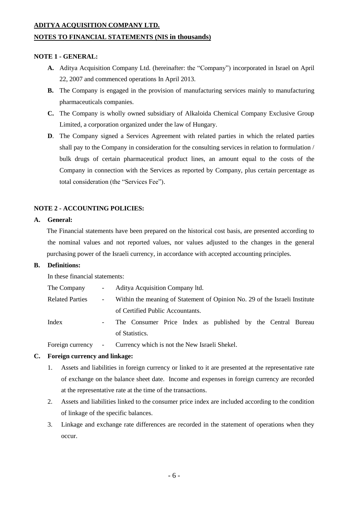#### **NOTES TO FINANCIAL STATEMENTS (NIS in thousands)**

#### **NOTE 1 - GENERAL:**

- **A.** Aditya Acquisition Company Ltd. (hereinafter: the "Company") incorporated in Israel on April 22, 2007 and commenced operations In April 2013.
- **B.** The Company is engaged in the provision of manufacturing services mainly to manufacturing pharmaceuticals companies.
- **C.** The Company is wholly owned subsidiary of Alkaloida Chemical Company Exclusive Group Limited, a corporation organized under the law of Hungary.
- **D**. The Company signed a Services Agreement with related parties in which the related parties shall pay to the Company in consideration for the consulting services in relation to formulation / bulk drugs of certain pharmaceutical product lines, an amount equal to the costs of the Company in connection with the Services as reported by Company, plus certain percentage as total consideration (the "Services Fee").

#### **NOTE 2 - ACCOUNTING POLICIES:**

#### **A. General:**

The Financial statements have been prepared on the historical cost basis, are presented according to the nominal values and not reported values, nor values adjusted to the changes in the general purchasing power of the Israeli currency, in accordance with accepted accounting principles.

#### **B. Definitions:**

In these financial statements:

| The Company            | $\omega_{\rm{max}}$     | Aditya Acquisition Company ltd.                                            |  |  |  |  |
|------------------------|-------------------------|----------------------------------------------------------------------------|--|--|--|--|
| <b>Related Parties</b> | $\sim 100$ km s $^{-1}$ | Within the meaning of Statement of Opinion No. 29 of the Israeli Institute |  |  |  |  |
|                        |                         | of Certified Public Accountants.                                           |  |  |  |  |
| Index                  | $\sim 100$              | The Consumer Price Index as published by the Central Bureau                |  |  |  |  |
|                        |                         | of Statistics                                                              |  |  |  |  |

Foreign currency - Currency which is not the New Israeli Shekel.

#### **C. Foreign currency and linkage:**

- 1. Assets and liabilities in foreign currency or linked to it are presented at the representative rate of exchange on the balance sheet date. Income and expenses in foreign currency are recorded at the representative rate at the time of the transactions.
- 2. Assets and liabilities linked to the consumer price index are included according to the condition of linkage of the specific balances.
- 3. Linkage and exchange rate differences are recorded in the statement of operations when they occur.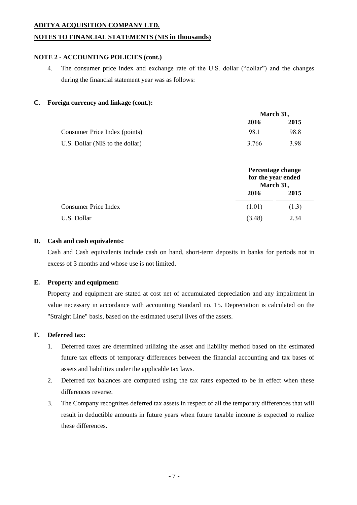#### **NOTES TO FINANCIAL STATEMENTS (NIS in thousands)**

#### **NOTE 2 - ACCOUNTING POLICIES (cont.)**

4. The consumer price index and exchange rate of the U.S. dollar ("dollar") and the changes during the financial statement year was as follows:

#### **C. Foreign currency and linkage (cont.):**

|                                 |       | March 31, |  |  |
|---------------------------------|-------|-----------|--|--|
|                                 | 2016  | 2015      |  |  |
| Consumer Price Index (points)   | 98.1  | 98.8      |  |  |
| U.S. Dollar (NIS to the dollar) | 3.766 | 3.98      |  |  |

**March 31,**

|                             | Percentage change<br>for the year ended<br>March 31, |       |
|-----------------------------|------------------------------------------------------|-------|
|                             | 2016                                                 | 2015  |
| <b>Consumer Price Index</b> | (1.01)                                               | (1.3) |
| U.S. Dollar                 | (3.48)                                               | 2.34  |

#### **D. Cash and cash equivalents:**

Cash and Cash equivalents include cash on hand, short-term deposits in banks for periods not in excess of 3 months and whose use is not limited.

#### **E. Property and equipment:**

Property and equipment are stated at cost net of accumulated depreciation and any impairment in value necessary in accordance with accounting Standard no. 15. Depreciation is calculated on the "Straight Line" basis, based on the estimated useful lives of the assets.

#### **F. Deferred tax:**

- 1. Deferred taxes are determined utilizing the asset and liability method based on the estimated future tax effects of temporary differences between the financial accounting and tax bases of assets and liabilities under the applicable tax laws.
- 2. Deferred tax balances are computed using the tax rates expected to be in effect when these differences reverse.
- 3. The Company recognizes deferred tax assets in respect of all the temporary differences that will result in deductible amounts in future years when future taxable income is expected to realize these differences.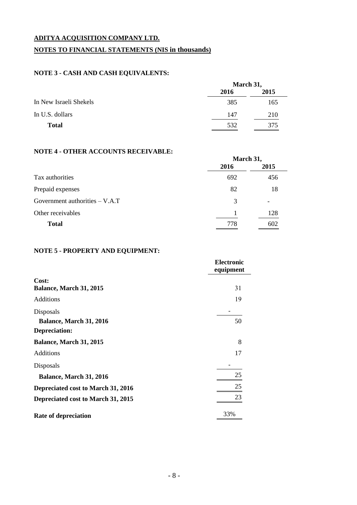## **ADITYA ACQUISITION COMPANY LTD. NOTES TO FINANCIAL STATEMENTS (NIS in thousands)**

### **NOTE 3 - CASH AND CASH EQUIVALENTS:**

|                        | March 31, |      |  |
|------------------------|-----------|------|--|
|                        | 2016      | 2015 |  |
| In New Israeli Shekels | 385       | 165  |  |
| In U.S. dollars        | 147       | 210  |  |
| <b>Total</b>           | 532       | 375  |  |

#### **NOTE 4 - OTHER ACCOUNTS RECEIVABLE:**

|                                  | March 31, |      |  |
|----------------------------------|-----------|------|--|
|                                  | 2016      | 2015 |  |
| Tax authorities                  | 692       | 456  |  |
| Prepaid expenses                 | 82        | 18   |  |
| Government authorities $- V.A.T$ | 3         |      |  |
| Other receivables                |           | 128  |  |
| <b>Total</b>                     | 778       | 602  |  |

### **NOTE 5 - PROPERTY AND EQUIPMENT:**

|                                    | <b>Electronic</b><br>equipment |
|------------------------------------|--------------------------------|
| Cost:                              |                                |
| Balance, March 31, 2015            | 31                             |
| <b>Additions</b>                   | 19                             |
| Disposals                          |                                |
| Balance, March 31, 2016            | 50                             |
| Depreciation:                      |                                |
| <b>Balance, March 31, 2015</b>     | 8                              |
| Additions                          | 17                             |
| Disposals                          |                                |
| Balance, March 31, 2016            | 25                             |
| Depreciated cost to March 31, 2016 | 25                             |
| Depreciated cost to March 31, 2015 | 23                             |
| <b>Rate of depreciation</b>        | 33%                            |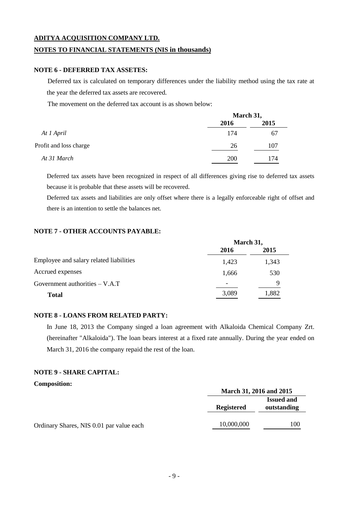#### **NOTES TO FINANCIAL STATEMENTS (NIS in thousands)**

#### **NOTE 6 - DEFERRED TAX ASSETES:**

Deferred tax is calculated on temporary differences under the liability method using the tax rate at the year the deferred tax assets are recovered.

The movement on the deferred tax account is as shown below:

|                        | March 31, |      |  |
|------------------------|-----------|------|--|
|                        | 2016      | 2015 |  |
| At 1 April             | 174       | 67   |  |
| Profit and loss charge | 26        | 107  |  |
| At 31 March            | 200       | 174  |  |

Deferred tax assets have been recognized in respect of all differences giving rise to deferred tax assets because it is probable that these assets will be recovered.

Deferred tax assets and liabilities are only offset where there is a legally enforceable right of offset and there is an intention to settle the balances net.

#### **NOTE 7 - OTHER ACCOUNTS PAYABLE:**

|                                         | March 31, |       |
|-----------------------------------------|-----------|-------|
|                                         | 2016      | 2015  |
| Employee and salary related liabilities | 1.423     | 1.343 |
| Accrued expenses                        | 1.666     | 530   |
| Government authorities $- V.A.T$        | -         | Q     |
| <b>Total</b>                            | 3,089     | 1,882 |

#### **NOTE 8 - LOANS FROM RELATED PARTY:**

In June 18, 2013 the Company singed a loan agreement with Alkaloida Chemical Company Zrt. (hereinafter "Alkaloida"). The loan bears interest at a fixed rate annually. During the year ended on March 31, 2016 the company repaid the rest of the loan.

#### **NOTE 9 - SHARE CAPITAL:**

#### **Composition:**

|                                          | March 31, 2016 and 2015 |                                  |  |
|------------------------------------------|-------------------------|----------------------------------|--|
|                                          | <b>Registered</b>       | <b>Issued and</b><br>outstanding |  |
| Ordinary Shares, NIS 0.01 par value each | 10,000,000              | 100                              |  |